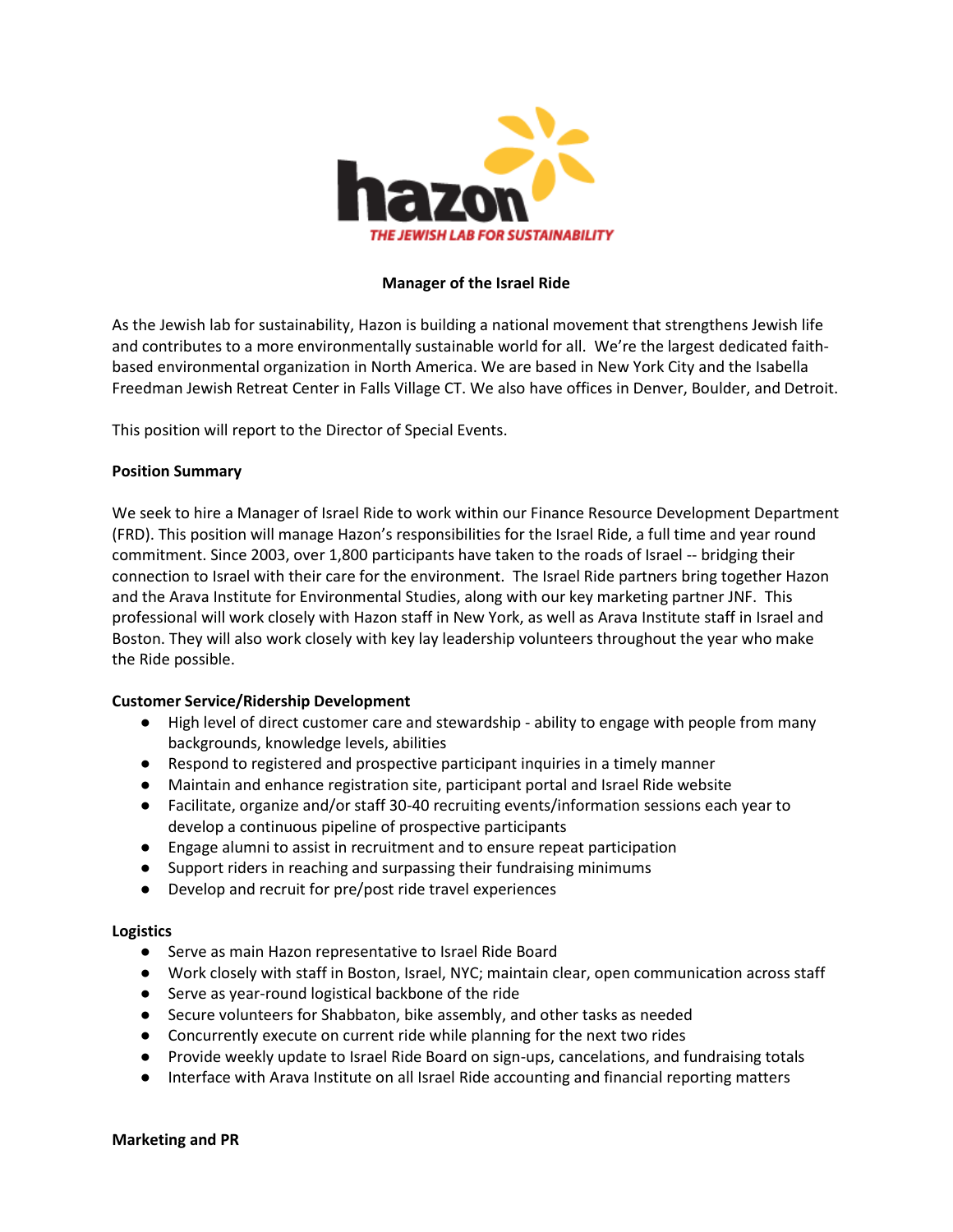

### **Manager of the Israel Ride**

As the Jewish lab for sustainability, Hazon is building a national movement that strengthens Jewish life and contributes to a more environmentally sustainable world for all. We're the largest dedicated faithbased environmental organization in North America. We are based in New York City and the Isabella Freedman Jewish Retreat Center in Falls Village CT. We also have offices in Denver, Boulder, and Detroit.

This position will report to the Director of Special Events.

## **Position Summary**

We seek to hire a Manager of Israel Ride to work within our Finance Resource Development Department (FRD). This position will manage Hazon's responsibilities for the Israel Ride, a full time and year round commitment. Since 2003, over 1,800 participants have taken to the roads of Israel -- bridging their connection to Israel with their care for the environment. The Israel Ride partners bring together Hazon and the Arava Institute for Environmental Studies, along with our key marketing partner JNF. This professional will work closely with Hazon staff in New York, as well as Arava Institute staff in Israel and Boston. They will also work closely with key lay leadership volunteers throughout the year who make the Ride possible.

# **Customer Service/Ridership Development**

- High level of direct customer care and stewardship ability to engage with people from many backgrounds, knowledge levels, abilities
- Respond to registered and prospective participant inquiries in a timely manner
- Maintain and enhance registration site, participant portal and Israel Ride website
- Facilitate, organize and/or staff 30-40 recruiting events/information sessions each year to develop a continuous pipeline of prospective participants
- Engage alumni to assist in recruitment and to ensure repeat participation
- Support riders in reaching and surpassing their fundraising minimums
- Develop and recruit for pre/post ride travel experiences

#### **Logistics**

- Serve as main Hazon representative to Israel Ride Board
- Work closely with staff in Boston, Israel, NYC; maintain clear, open communication across staff
- Serve as year-round logistical backbone of the ride
- Secure volunteers for Shabbaton, bike assembly, and other tasks as needed
- Concurrently execute on current ride while planning for the next two rides
- Provide weekly update to Israel Ride Board on sign-ups, cancelations, and fundraising totals
- Interface with Arava Institute on all Israel Ride accounting and financial reporting matters